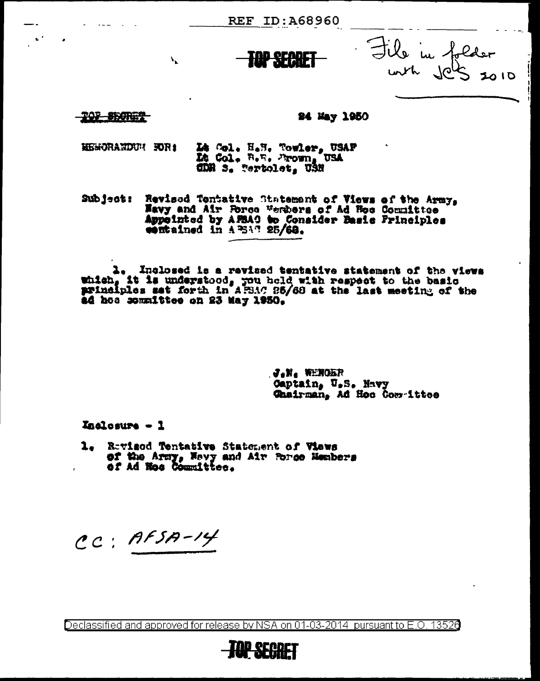**REF ID: A68960** 

Jile in folder

**TOP \$50RET** 

#### 24 May 1950

Là Col. H.H. Towler, USAF<br>Là Col. B.H. Prown, USA<br>CDR S. Tertolet, USN HEMORANDUM HORI

 $\mathbf{V}_{\mathbf{L}}$ 

Subject: Revised Tentative Statement of Views of the Army,<br>Nevy and Air Force Wembers of Ad Hee Committee<br>Appeinted by APSAC to Consider Basic Principles<br>entrained in APSAC 25/68.

1. Inclosed is a revised tentative statement of the views<br>which, it is understood, you held with respect to the basic<br>principles set forth in AFSAC 25/68 at the last meeting of the ad hos sommittee on 23 May 1950.

> $J$ <sub>a</sub>n<sub>a</sub> Wenokr Captain, U.S. Navy Chairman. Ad Hoc Compettee

Inalosure - 1

1. Rovisod Tentative Statement of Views of the Army, Nevy and Air Porce Hembers

CC: AFSA-14

Declassified and approved for release by NSA on 01-03-2014  $\,$  pursuant to E.O. 1352 $0$ 

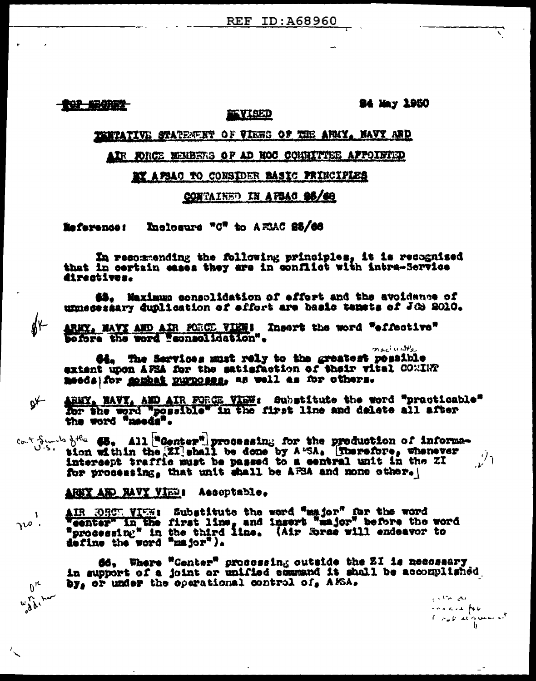**TOP ARCHIPS** 

#### **24 May 1950**

### **PERTATIVE STATEMENT OF VIEWS OF THE ARKY. HAVY ARD**

**EVISED** 

#### AIR FORCE MEMBERS OF AD NOC CONNITTEE APPOINTED

#### BY APSAC TO CONSIDER BASIC PRINCIPLES

### CONTAINED IN AFBAC 06/68

Inclosure "C" to AELAC 85/66 **Reference:** 

In resommending the following principles, it is recognised that in certain cases they are in conflict with intra-Service directives.

45. Maximum consolidation of effort and the avoidance of unnecessary duplication of effort are basic tenets of JOS 2010.

ARNY, NAVY AND AIR PORCE VIEWS Insert the word "effective" before the word "consolidation".

روائات المالين 64. The Services must rely to the greatest possible extent upon AFSA for the satisfaction of their vital CONIET meeds for <u>somet numoses</u>, as well as for others.

 $p^{\mu}$ ARNY, NAVY, AND AIR FORCE VIEW: Substitute the word "practicable" for the word "possible" in the first line and delete all after the word "needs".

 $\begin{array}{c} \text{and} \text{the} \quad \text{48,} \quad \text{All} \quad \text{Id} \quad \text{proo} \quad \text{as} \quad \text{for the production of information} \\ \text{from with} \quad \text{the} \quad \text{III} \quad \text{shall} \quad \text{be done by A-SA.} \quad \text{Inorder, whenever} \\ \text{the respect to a general with } \quad \text{in the 2I} \end{array}$  $\mathcal{L}^2$ for processing, that unit shall be AFSA and none other.

ARKY AND RAVY VIEW: Aecoptable.

AIR RECE VIEN: Substitute the word "major" for the word<br>Weenter" in the first line, and insert "major" before the word<br>"processing" in the third line. (Air Spree will endeavor to<br>define the word "major").

**66.** Where "Center" prosessing outside the ZI is nesessary<br>in support of a joint or unified command it shall be accomplished.<br>by, or under the operational control of, A*K*SA.

المنافع العثرة الداري concert for  $C \approx aV$  at queen of

 $\theta_{i_{\mathbf{c}}}$ **With the** 

-1 no.

 $\oint_{\mathcal{K}}$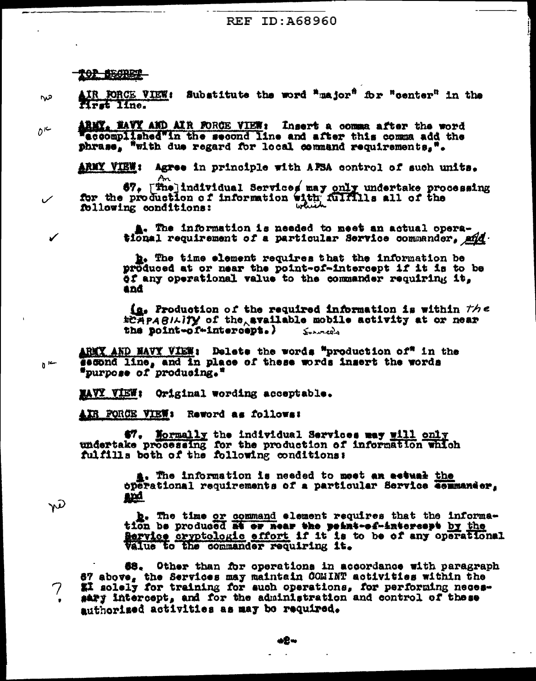101 BECRET

- AIR FORCE VIEW: Substitute the word "major" for "center" in the س∩ Hrst Ilne.
- ARMY, NAVY AND AIR FORCE VIEW: Insert a comma after the word  $D^{\kappa}$ accomplished"in the second line and after this comma add the phrase, "with due regard for local command requirements,".

Agree in principle with AFSA control of such units. **ARMY VIEW:** 

An  $\frac{1}{2}$   $\frac{1}{2}$   $\frac{1}{2}$   $\frac{1}{2}$   $\frac{1}{2}$   $\frac{1}{2}$   $\frac{1}{2}$   $\frac{1}{2}$   $\frac{1}{2}$   $\frac{1}{2}$   $\frac{1}{2}$   $\frac{1}{2}$   $\frac{1}{2}$   $\frac{1}{2}$   $\frac{1}{2}$   $\frac{1}{2}$   $\frac{1}{2}$   $\frac{1}{2}$   $\frac{1}{2}$   $\frac{1}{2}$   $\frac{1}{2}$   $\frac{1}{2}$  following conditions:

> A. The information is needed to meet an actual operational requirement of a particular Service commander, and

> b. The time element requires that the information be produced at or near the point-of-intercept if it is to be of any operational value to the commander requiring it, and

 $\Omega$ . Production of the required information is within  $the$ ECHPASILITY of the available mobile activity at or near the point-of-intercept.)  $S$ *what*  $\Omega$ <sup>2</sup>

ARMY AND NAVY VIEW: Delete the words "production of" in the second line, and in place of these words insert the words "purpose of producing."

MAYY VIEW: Original wording acceptable.

AIR FORCE VIEW: Reword as follows:

47. Mormally the individual Services may will only undertake processing for the production of information which<br>fulfills both of the following conditions:

> a. The information is needed to meet an actual the operational requirements of a particular Service commander, <u>and</u>

w

 $\sqrt{ }$ 

 $\mathfrak{b}$  ic-

b. The time or command element requires that the informa-<br>tion be produced at or near the point-of-interespt by the Bervice cryptologic effort if it is to be of any operational Value to the commander requiring it.

\$8. Other than for operations in accordance with paragraph 67 above, the Services may maintain COMINT activities within the El solely for training for auch operations, for performing necessary intercept, and for the administration and control of these authorized activities as may be required.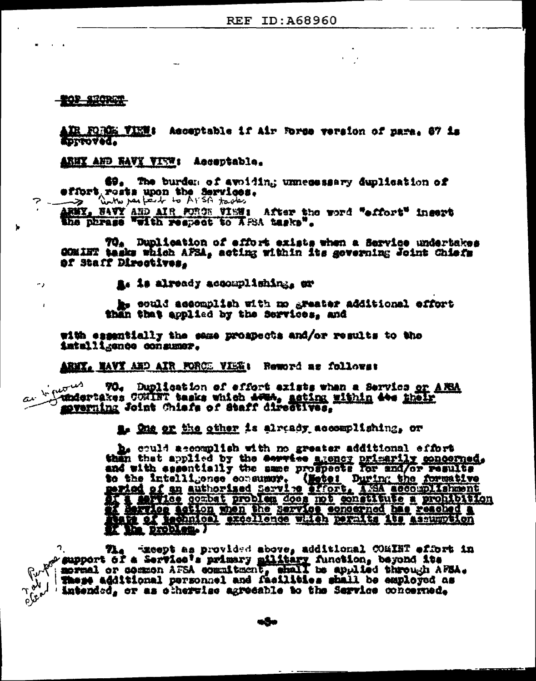**TOP SECRET** 

٠.,

IR FORCE VIEW: Acceptable if air Force version of nare. 67 is **LETOSTAN M** 

ARNY AND RAVY VIEW: Acceptable.

69. The burden of avoiding unnecessary duplication of offort rests upon the Services.

 $\rightarrow$ FWY, NAVY AND AIR FORCE VISH: After the word "effort" insert

the phrase "with respect to ArsA tasks".

70. Duplication of effort exists when a Service undertakes COMINT tasks which AFSA, acting within its governing Joint Chiefs of Staff Directives.

A. is already accomplishing, or

he could accomplish with mo greater additional effort than that applied by the Services, and

with essentially the seme prospects and/or results to the intallignoe consumer.

ARNY, NAVY AND AIR FORCE VIEW: Reword as follows:

In futures 70. Duplication of effort exists when a Servics or ARRA undertakes CONINT tasks which Acus, acting within 40s their sverning Joint Chiefs of Staff directives.

Le the er the other is already accomplishing, or

b. could accomplish with no greater additional effort then that applied by the service agency primarily concerned. to the intelligence consumer. (Motel During the formative period of an authorized Service affort, And accountishment<br>of 1 device combat problem does not constitute a prohibition<br>and afflice action when the service concerne

າູ The recept as provided above, additional COMINT effort in s support of a Service's primary military function, beyond its spring or common AFSA commitment, shall be applied through AFSA. These additional personnel and facilities shall be employed as 'intended, or as ciherwise agreeable to the Service concerned,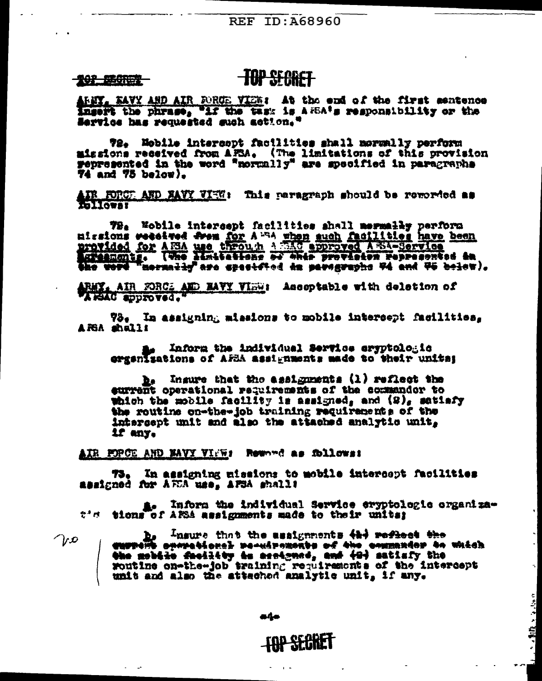#### **202 BEGREE**

## **TOP SFORET**

AREY, EAVY AND AIR FORGE VIEW: At the end of the first sentence ingert the phrase, "if the task is ARBA's responsibility or the Service has requested such action."

72. Nobile intercopt facilities shall mormally perform missions received from AFSA. (The limitations of this provision gepresented in the word "normally" are specified in paragraphs **74 and 75 below).** 

AIR FORCE AND NAVY VIEW: This paragraph should be reworded as

79. Nobile intersept facilities shall mermally perform nissions weetwed from for A<sup>114</sup> when such facilities have been<br>provided for A13A use through A152 approved A234-Service<br>excessionig. (Whe Manitetions of this provision represented in<br>the word mermaliy are specified in par

ARMY, AIR FORCE AND MAYY VIEW: Asseptable with deletion of

73. In assigning missions to mobile intersept facilities. ARSA shalli

Inform the individual Service eryptologic ergenizations of AFSA assignments made to their unital

 $\mathbf{h}_s$  . Insure that the assignments (1) reflect the eurrent operational requirements of the commandor to which the mobile facility is assigned, and  $(2)$ , satisfy the routine on-the-job training requirements of the intergept unit and also the attached analytic unit, if any.

AIR FORCE AND NAVY VINE: Reward as follows:

In assigning missions to mobile intercept facilities 73. assigned for ATCA use, AFSA shall!

a. Inform the individual Service eryptologic organizat'd tions of AMS assignments made to their units;

 $\bigcap_{i}$ 

b. Insure that the assignments 424 reflect the analysis obecame of the streament of the contract of which the mobile facility is assigned, and (9) satisfy the woutine on-the-job training requirements of the intercept unit and also the attached analytic unit, if any.

a4o

# **FOR SECRET**

→ 都住 インパック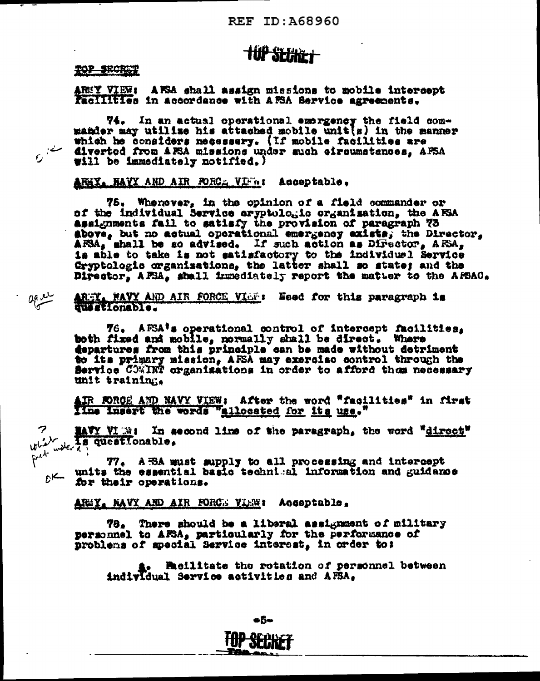# **TUP SEBRET**

#### TOP SECRET

ARMY VIEW: AFSA shall assign missions to mobile intercept Racilities in accordance with AESA Service agreements.

74. In an actual operational emergency the field commander may utilize his attached mobile unit(s) in the manner which he considers necessary. (If mobile facilities are diverted from AESA missions under such eircumstances, AESA will be immediately notified.)

ARRIX NAVY AND AIR FORCE VIEst Acceptable.

75. Whenever, in the opinion of a field commander or of the individual Service eryptologic organisation, the AFSA assignments fall to satisfy the provision of paragraph 73 above, but no actual operational emergency exists, the Director, AFSA, shall be so advised. If such action as Director, AFSA, is able to take is not satisfactory to the individuel Service Gryptologic organizations, the latter shall so state; and the Director, AFSA, shall immediately report the matter to the AFSAC.

 $0.82$ AREY, NAVY AND AIR FORCE VIST: Eeed for this paragraph is

> 76. AFSA's operational control of intercept facilities, both fixed and mobile, normally shall be direct. Where departures from this principle can be made without detriment to its primary mission, AFSA may exercise control through the Service COMINT organizations in order to afford them necessary unit training.

> IR FORCE AND NAVY VIEW: After the word "facilities" in first Ilme insert the words "allocated for its use."

MAY VIET: In second line of the paragraph, the word "direct" سلىغىلىلا water a<sup>nd</sup>

77. A BA must supply to all processing and intercept  $\mathcal{C}$  units the essential basic technical information and guidance for their operations.

ARMY, NAVY AND AIR FORCE VIEW: Acceptable.

78. There should be a liberal assignment of military personnel to AFSA, particularly for the performance of problems of special Service interest, in order to:

**1. Pacilitate the rotation of personnel between** individual Service activities and AFSA.